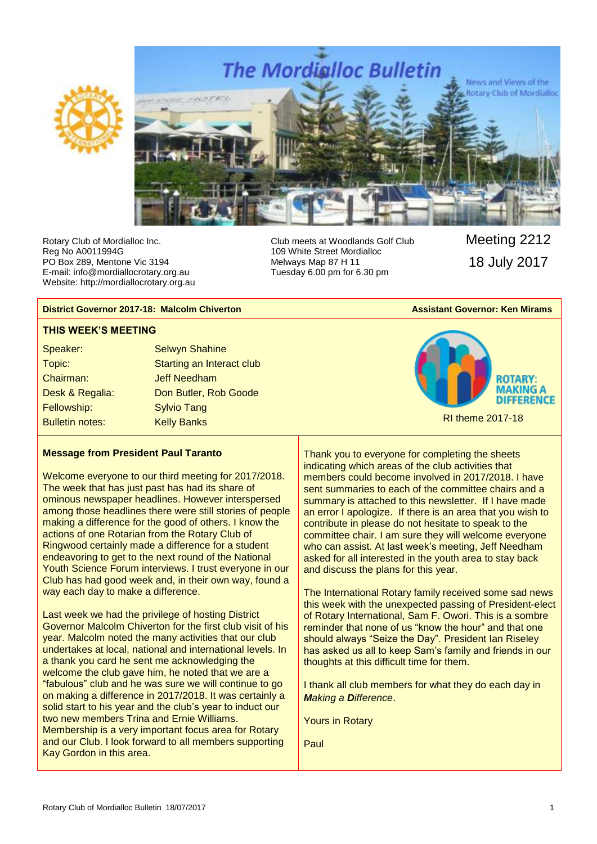



Rotary Club of Mordialloc Inc. Reg No A0011994G PO Box 289, Mentone Vic 3194 E-mail: info@mordiallocrotary.org.au Website: http://mordiallocrotary.org.au Club meets at Woodlands Golf Club 109 White Street Mordialloc Melways Map 87 H 11 Tuesday 6.00 pm for 6.30 pm

Meeting 2212 18 July 2017

#### **District Governor 2017-18: Malcolm Chiverton Assistant Governor: Ken Mirams** Assistant Governor: Ken Mirams

#### **THIS WEEK'S MEETING**

| <b>Selwyn Shahine</b>     |
|---------------------------|
| Starting an Interact club |
| <b>Jeff Needham</b>       |
| Don Butler, Rob Goode     |
| <b>Sylvio Tang</b>        |
| <b>Kelly Banks</b>        |
|                           |



#### **Message from President Paul Taranto**

Welcome everyone to our third meeting for 2017/2018. The week that has just past has had its share of ominous newspaper headlines. However interspersed among those headlines there were still stories of people making a difference for the good of others. I know the actions of one Rotarian from the Rotary Club of Ringwood certainly made a difference for a student endeavoring to get to the next round of the National Youth Science Forum interviews. I trust everyone in our Club has had good week and, in their own way, found a way each day to make a difference.

Last week we had the privilege of hosting District Governor Malcolm Chiverton for the first club visit of his year. Malcolm noted the many activities that our club undertakes at local, national and international levels. In a thank you card he sent me acknowledging the welcome the club gave him, he noted that we are a "fabulous" club and he was sure we will continue to go on making a difference in 2017/2018. It was certainly a solid start to his year and the club's year to induct our two new members Trina and Ernie Williams. Membership is a very important focus area for Rotary and our Club. I look forward to all members supporting Kay Gordon in this area.

Thank you to everyone for completing the sheets indicating which areas of the club activities that members could become involved in 2017/2018. I have sent summaries to each of the committee chairs and a summary is attached to this newsletter. If I have made an error I apologize. If there is an area that you wish to contribute in please do not hesitate to speak to the committee chair. I am sure they will welcome everyone who can assist. At last week's meeting, Jeff Needham asked for all interested in the youth area to stay back and discuss the plans for this year.

The International Rotary family received some sad news this week with the unexpected passing of President-elect of Rotary International, Sam F. Owori. This is a sombre reminder that none of us "know the hour" and that one should always "Seize the Day". President Ian Riseley has asked us all to keep Sam's family and friends in our thoughts at this difficult time for them.

I thank all club members for what they do each day in *Making a Difference*.

Yours in Rotary

Paul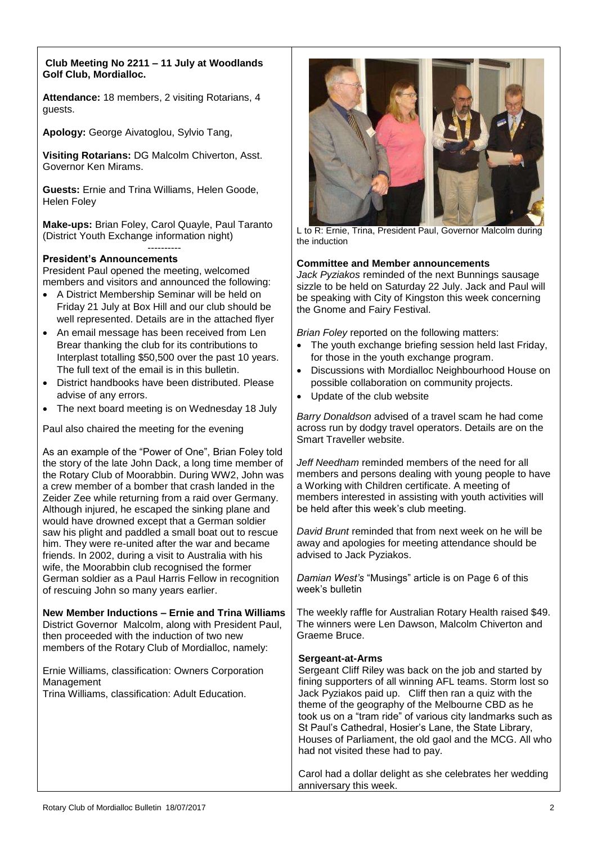#### **Club Meeting No 2211 – 11 July at Woodlands Golf Club, Mordialloc.**

**Attendance:** 18 members, 2 visiting Rotarians, 4 guests.

**Apology:** George Aivatoglou, Sylvio Tang,

**Visiting Rotarians:** DG Malcolm Chiverton, Asst. Governor Ken Mirams.

**Guests:** Ernie and Trina Williams, Helen Goode, Helen Foley

**Make-ups:** Brian Foley, Carol Quayle, Paul Taranto (District Youth Exchange information night)

#### ---------- **President's Announcements**

President Paul opened the meeting, welcomed members and visitors and announced the following:

- A District Membership Seminar will be held on Friday 21 July at Box Hill and our club should be well represented. Details are in the attached flyer
- An email message has been received from Len Brear thanking the club for its contributions to Interplast totalling \$50,500 over the past 10 years. The full text of the email is in this bulletin.
- District handbooks have been distributed. Please advise of any errors.
- The next board meeting is on Wednesday 18 July

Paul also chaired the meeting for the evening

As an example of the "Power of One", Brian Foley told the story of the late John Dack, a long time member of the Rotary Club of Moorabbin. During WW2, John was a crew member of a bomber that crash landed in the Zeider Zee while returning from a raid over Germany. Although injured, he escaped the sinking plane and would have drowned except that a German soldier saw his plight and paddled a small boat out to rescue him. They were re-united after the war and became friends. In 2002, during a visit to Australia with his wife, the Moorabbin club recognised the former German soldier as a Paul Harris Fellow in recognition of rescuing John so many years earlier.

#### **New Member Inductions – Ernie and Trina Williams**

District Governor Malcolm, along with President Paul, then proceeded with the induction of two new members of the Rotary Club of Mordialloc, namely:

Ernie Williams, classification: Owners Corporation Management

Trina Williams, classification: Adult Education.



L to R: Ernie, Trina, President Paul, Governor Malcolm during the induction

#### **Committee and Member announcements**

*Jack Pyziakos* reminded of the next Bunnings sausage sizzle to be held on Saturday 22 July. Jack and Paul will be speaking with City of Kingston this week concerning the Gnome and Fairy Festival.

*Brian Foley* reported on the following matters:

- The youth exchange briefing session held last Friday, for those in the youth exchange program.
- Discussions with Mordialloc Neighbourhood House on possible collaboration on community projects.
- Update of the club website

*Barry Donaldson* advised of a travel scam he had come across run by dodgy travel operators. Details are on the Smart Traveller website.

*Jeff Needham* reminded members of the need for all members and persons dealing with young people to have a Working with Children certificate. A meeting of members interested in assisting with youth activities will be held after this week's club meeting.

*David Brunt* reminded that from next week on he will be away and apologies for meeting attendance should be advised to Jack Pyziakos.

*Damian West's* "Musings" article is on Page 6 of this week's bulletin

The weekly raffle for Australian Rotary Health raised \$49. The winners were Len Dawson, Malcolm Chiverton and Graeme Bruce.

#### **Sergeant-at-Arms**

Sergeant Cliff Riley was back on the job and started by fining supporters of all winning AFL teams. Storm lost so Jack Pyziakos paid up. Cliff then ran a quiz with the theme of the geography of the Melbourne CBD as he took us on a "tram ride" of various city landmarks such as St Paul's Cathedral, Hosier's Lane, the State Library, Houses of Parliament, the old gaol and the MCG. All who had not visited these had to pay.

Carol had a dollar delight as she celebrates her wedding anniversary this week.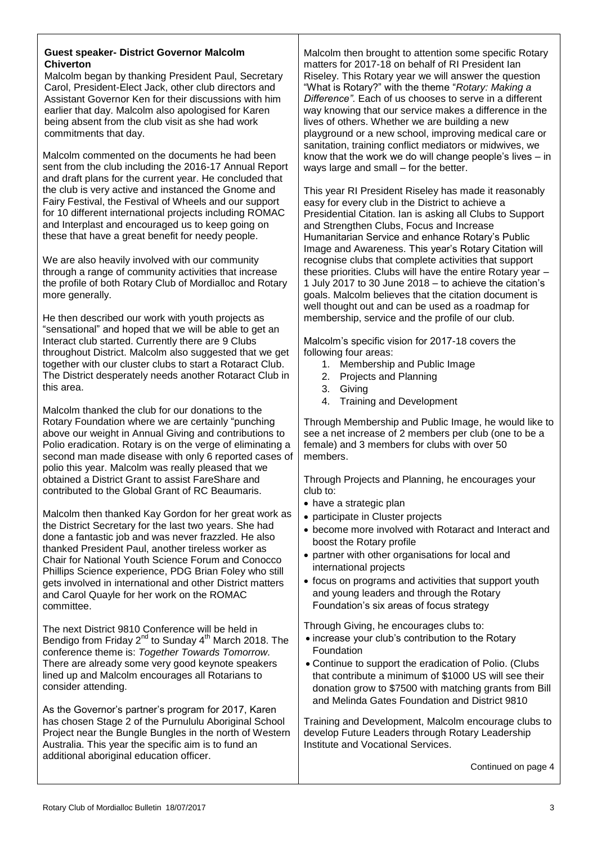#### **Guest speaker- District Governor Malcolm Chiverton**

Malcolm began by thanking President Paul, Secretary Carol, President-Elect Jack, other club directors and Assistant Governor Ken for their discussions with him earlier that day. Malcolm also apologised for Karen being absent from the club visit as she had work commitments that day.

Malcolm commented on the documents he had been sent from the club including the 2016-17 Annual Report and draft plans for the current year. He concluded that the club is very active and instanced the Gnome and Fairy Festival, the Festival of Wheels and our support for 10 different international projects including ROMAC and Interplast and encouraged us to keep going on these that have a great benefit for needy people.

We are also heavily involved with our community through a range of community activities that increase the profile of both Rotary Club of Mordialloc and Rotary more generally.

He then described our work with youth projects as "sensational" and hoped that we will be able to get an Interact club started. Currently there are 9 Clubs throughout District. Malcolm also suggested that we get together with our cluster clubs to start a Rotaract Club. The District desperately needs another Rotaract Club in this area.

Malcolm thanked the club for our donations to the Rotary Foundation where we are certainly "punching above our weight in Annual Giving and contributions to Polio eradication. Rotary is on the verge of eliminating a second man made disease with only 6 reported cases of polio this year. Malcolm was really pleased that we obtained a District Grant to assist FareShare and contributed to the Global Grant of RC Beaumaris.

Malcolm then thanked Kay Gordon for her great work as the District Secretary for the last two years. She had done a fantastic job and was never frazzled. He also thanked President Paul, another tireless worker as Chair for National Youth Science Forum and Conocco Phillips Science experience, PDG Brian Foley who still gets involved in international and other District matters and Carol Quayle for her work on the ROMAC committee.

The next District 9810 Conference will be held in Bendigo from Friday 2<sup>nd</sup> to Sunday 4<sup>th</sup> March 2018. The conference theme is: *Together Towards Tomorrow.*  There are already some very good keynote speakers lined up and Malcolm encourages all Rotarians to consider attending.

As the Governor's partner's program for 2017, Karen has chosen Stage 2 of the Purnululu Aboriginal School Project near the Bungle Bungles in the north of Western Australia. This year the specific aim is to fund an additional aboriginal education officer.

Malcolm then brought to attention some specific Rotary matters for 2017-18 on behalf of RI President Ian Riseley. This Rotary year we will answer the question "What is Rotary?" with the theme "*Rotary: Making a Difference".* Each of us chooses to serve in a different way knowing that our service makes a difference in the lives of others. Whether we are building a new playground or a new school, improving medical care or sanitation, training conflict mediators or midwives, we know that the work we do will change people's lives – in ways large and small – for the better.

This year RI President Riseley has made it reasonably easy for every club in the District to achieve a Presidential Citation. Ian is asking all Clubs to Support and Strengthen Clubs, Focus and Increase Humanitarian Service and enhance Rotary's Public Image and Awareness. This year's Rotary Citation will recognise clubs that complete activities that support these priorities. Clubs will have the entire Rotary year – 1 July 2017 to 30 June 2018 – to achieve the citation's goals. Malcolm believes that the citation document is well thought out and can be used as a roadmap for membership, service and the profile of our club.

Malcolm's specific vision for 2017-18 covers the following four areas:

- 1. Membership and Public Image
- 2. Projects and Planning
- 3. Giving
- 4. Training and Development

Through Membership and Public Image, he would like to see a net increase of 2 members per club (one to be a female) and 3 members for clubs with over 50 members.

Through Projects and Planning, he encourages your club to:

- have a strategic plan
- participate in Cluster projects
- become more involved with Rotaract and Interact and boost the Rotary profile
- partner with other organisations for local and international projects
- focus on programs and activities that support youth and young leaders and through the Rotary Foundation's six areas of focus strategy

Through Giving, he encourages clubs to:

- increase your club's contribution to the Rotary Foundation
- Continue to support the eradication of Polio. (Clubs that contribute a minimum of \$1000 US will see their donation grow to \$7500 with matching grants from Bill and Melinda Gates Foundation and District 9810

Training and Development, Malcolm encourage clubs to develop Future Leaders through Rotary Leadership Institute and Vocational Services.

Continued on page 4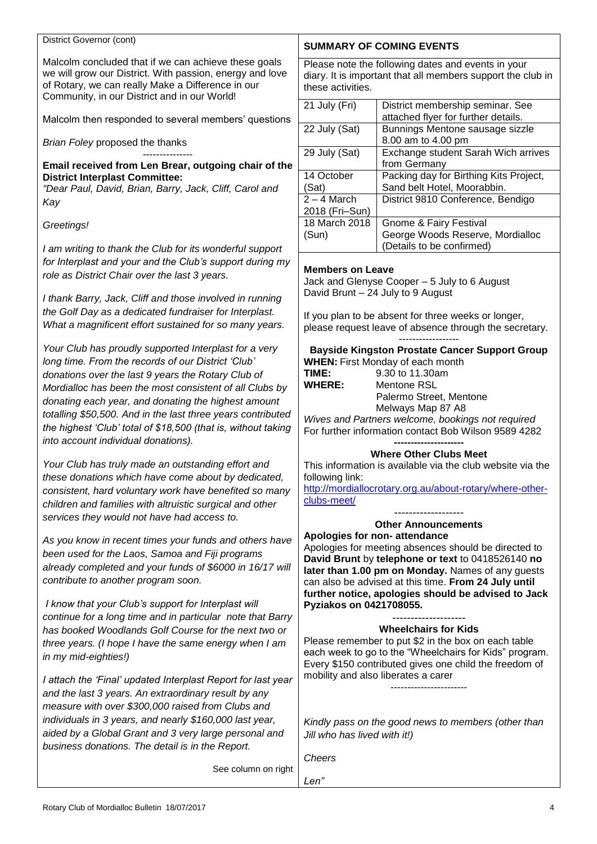#### District Governor (cont)

Malcolm concluded that if we can achieve these goals we will grow our District. With passion, energy and love of Rotary, we can really Make a Difference in our Community, in our District and in our World!

Malcolm then responded to several members' questions

*Brian Foley* proposed the thanks

#### --------------- **Email received from Len Brear, outgoing chair of the District Interplast Committee:**

*"Dear Paul, David, Brian, Barry, Jack, Cliff, Carol and Kay*

*Greetings!*

*I am writing to thank the Club for its wonderful support for Interplast and your and the Club's support during my role as District Chair over the last 3 years.*

*I thank Barry, Jack, Cliff and those involved in running the Golf Day as a dedicated fundraiser for Interplast. What a magnificent effort sustained for so many years.* 

*Your Club has proudly supported Interplast for a very long time. From the records of our District 'Club' donations over the last 9 years the Rotary Club of Mordialloc has been the most consistent of all Clubs by donating each year, and donating the highest amount totalling \$50,500. And in the last three years contributed the highest 'Club' total of \$18,500 (that is, without taking into account individual donations).*

*Your Club has truly made an outstanding effort and these donations which have come about by dedicated, consistent, hard voluntary work have benefited so many children and families with altruistic surgical and other services they would not have had access to.*

*As you know in recent times your funds and others have been used for the Laos, Samoa and Fiji programs already completed and your funds of \$6000 in 16/17 will contribute to another program soon.*

*I know that your Club's support for Interplast will continue for a long time and in particular note that Barry has booked Woodlands Golf Course for the next two or three years. (I hope I have the same energy when I am in my mid-eighties!)* 

*I attach the 'Final' updated Interplast Report for last year and the last 3 years. An extraordinary result by any measure with over \$300,000 raised from Clubs and individuals in 3 years, and nearly \$160,000 last year, aided by a Global Grant and 3 very large personal and business donations. The detail is in the Report.*

**SUMMARY OF COMING EVENTS**

Please note the following dates and events in your diary. It is important that all members support the club in these activities.

| 21 July (Fri)  | District membership seminar. See<br>attached flyer for further details. |
|----------------|-------------------------------------------------------------------------|
| 22 July (Sat)  | Bunnings Mentone sausage sizzle                                         |
|                | 8.00 am to 4.00 pm                                                      |
| 29 July (Sat)  | Exchange student Sarah Wich arrives                                     |
|                | from Germany                                                            |
| 14 October     | Packing day for Birthing Kits Project,                                  |
| (Sat)          | Sand belt Hotel, Moorabbin.                                             |
| $2 - 4$ March  | District 9810 Conference, Bendigo                                       |
| 2018 (Fri-Sun) |                                                                         |
| 18 March 2018  | <b>Gnome &amp; Fairy Festival</b>                                       |
| (Sun)          | George Woods Reserve, Mordialloc                                        |
|                | (Details to be confirmed)                                               |

#### **Members on Leave**

Jack and Glenyse Cooper – 5 July to 6 August David Brunt – 24 July to 9 August

If you plan to be absent for three weeks or longer, please request leave of absence through the secretary.

| <b>Bayside Kingston Prostate Cancer Support Group</b> |
|-------------------------------------------------------|
| <b>WHEN:</b> First Monday of each month               |

| .             |  |
|---------------|--|
| TIME:         |  |
| <b>WHERE:</b> |  |

[clubs-meet/](http://mordiallocrotary.org.au/about-rotary/where-other-clubs-meet/)

**TIME:** 9.30 to 11.30am **Mentone RSL**  Palermo Street, Mentone Melways Map 87 A8

*Wives and Partners welcome, bookings not required* For further information contact Bob Wilson 9589 4282

#### **--------------------- Where Other Clubs Meet**

This information is available via the club website via the following link: [http://mordiallocrotary.org.au/about-rotary/where-other-](http://mordiallocrotary.org.au/about-rotary/where-other-clubs-meet/)

------------------- **Other Announcements**

# **Apologies for non- attendance**

Apologies for meeting absences should be directed to **David Brunt** by **telephone or text** to 0418526140 **no later than 1.00 pm on Monday.** Names of any guests can also be advised at this time. **From 24 July until further notice, apologies should be advised to Jack Pyziakos on 0421708055.**

#### -------------------- **Wheelchairs for Kids**

Please remember to put \$2 in the box on each table each week to go to the "Wheelchairs for Kids" program. Every \$150 contributed gives one child the freedom of mobility and also liberates a carer

-----------------------

*Kindly pass on the good news to members (other than Jill who has lived with it!)*

*Cheers*

*Len"*

See column on right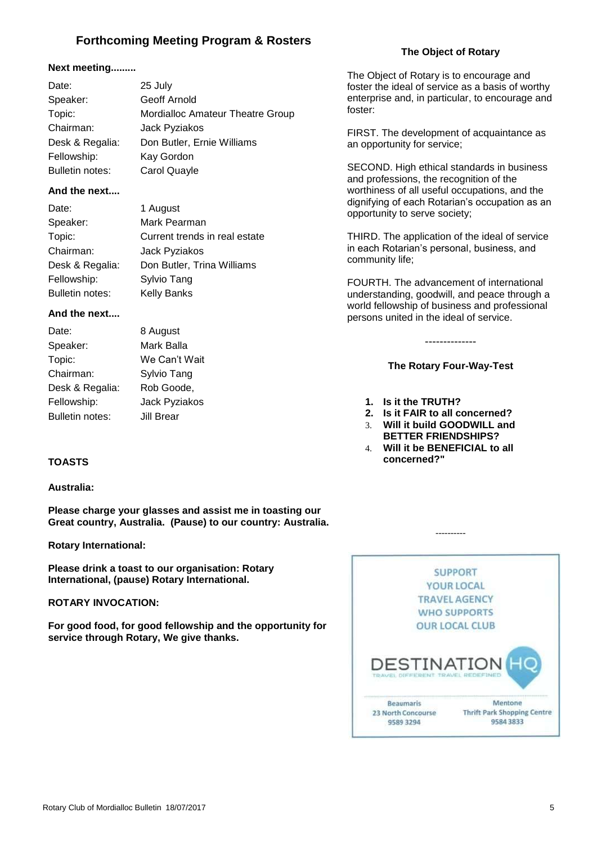# **Forthcoming Meeting Program & Rosters**

#### **Next meeting.........**

| Date:           | 25 July                                 |
|-----------------|-----------------------------------------|
| Speaker:        | Geoff Arnold                            |
| Topic:          | <b>Mordialloc Amateur Theatre Group</b> |
| Chairman:       | Jack Pyziakos                           |
| Desk & Regalia: | Don Butler, Ernie Williams              |
| Fellowship:     | Kay Gordon                              |
| Bulletin notes: | Carol Quayle                            |

#### **And the next....**

| Date:           | 1 August                      |
|-----------------|-------------------------------|
| Speaker:        | Mark Pearman                  |
| Topic:          | Current trends in real estate |
| Chairman:       | Jack Pyziakos                 |
| Desk & Regalia: | Don Butler, Trina Williams    |
| Fellowship:     | Sylvio Tang                   |
| Bulletin notes: | <b>Kelly Banks</b>            |

#### **And the next....**

| Date:           | 8 August      |
|-----------------|---------------|
| Speaker:        | Mark Balla    |
| Topic:          | We Can't Wait |
| Chairman:       | Sylvio Tang   |
| Desk & Regalia: | Rob Goode,    |
| Fellowship:     | Jack Pyziakos |
| Bulletin notes: | Jill Brear    |

#### **TOASTS**

#### **Australia:**

**Please charge your glasses and assist me in toasting our Great country, Australia. (Pause) to our country: Australia.**

#### **Rotary International:**

**Please drink a toast to our organisation: Rotary International, (pause) Rotary International.**

#### **ROTARY INVOCATION:**

**For good food, for good fellowship and the opportunity for service through Rotary, We give thanks.**



#### **The Object of Rotary**

The Object of Rotary is to encourage and foster the ideal of service as a basis of worthy enterprise and, in particular, to encourage and foster:

FIRST. The development of acquaintance as an opportunity for service;

SECOND. High ethical standards in business and professions, the recognition of the worthiness of all useful occupations, and the dignifying of each Rotarian's occupation as an opportunity to serve society;

THIRD. The application of the ideal of service in each Rotarian's personal, business, and community life;

FOURTH. The advancement of international understanding, goodwill, and peace through a world fellowship of business and professional persons united in the ideal of service.

**The Rotary Four-Way-Test**

--------------

- **1. Is it the TRUTH?**
- **2. Is it FAIR to all concerned?**
- 3. **Will it build GOODWILL and BETTER FRIENDSHIPS?**
- 4. **Will it be BENEFICIAL to all concerned?"**

----------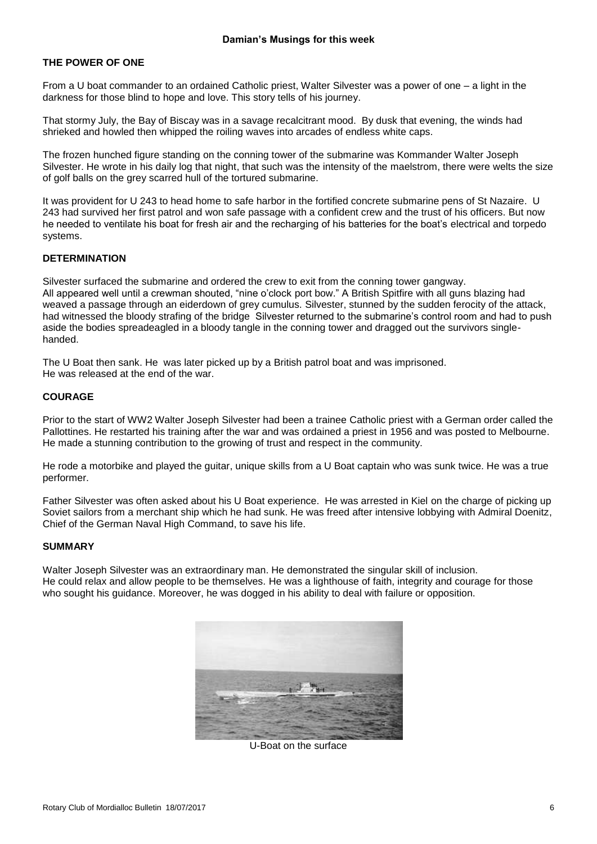#### **THE POWER OF ONE**

From a U boat commander to an ordained Catholic priest, Walter Silvester was a power of one – a light in the darkness for those blind to hope and love. This story tells of his journey.

That stormy July, the Bay of Biscay was in a savage recalcitrant mood. By dusk that evening, the winds had shrieked and howled then whipped the roiling waves into arcades of endless white caps.

The frozen hunched figure standing on the conning tower of the submarine was Kommander Walter Joseph Silvester. He wrote in his daily log that night, that such was the intensity of the maelstrom, there were welts the size of golf balls on the grey scarred hull of the tortured submarine.

It was provident for U 243 to head home to safe harbor in the fortified concrete submarine pens of St Nazaire. U 243 had survived her first patrol and won safe passage with a confident crew and the trust of his officers. But now he needed to ventilate his boat for fresh air and the recharging of his batteries for the boat's electrical and torpedo systems.

#### **DETERMINATION**

Silvester surfaced the submarine and ordered the crew to exit from the conning tower gangway. All appeared well until a crewman shouted, "nine o'clock port bow." A British Spitfire with all guns blazing had weaved a passage through an eiderdown of grey cumulus. Silvester, stunned by the sudden ferocity of the attack, had witnessed the bloody strafing of the bridge Silvester returned to the submarine's control room and had to push aside the bodies spreadeagled in a bloody tangle in the conning tower and dragged out the survivors singlehanded.

The U Boat then sank. He was later picked up by a British patrol boat and was imprisoned. He was released at the end of the war.

#### **COURAGE**

Prior to the start of WW2 Walter Joseph Silvester had been a trainee Catholic priest with a German order called the Pallottines. He restarted his training after the war and was ordained a priest in 1956 and was posted to Melbourne. He made a stunning contribution to the growing of trust and respect in the community.

He rode a motorbike and played the guitar, unique skills from a U Boat captain who was sunk twice. He was a true performer.

Father Silvester was often asked about his U Boat experience. He was arrested in Kiel on the charge of picking up Soviet sailors from a merchant ship which he had sunk. He was freed after intensive lobbying with Admiral Doenitz, Chief of the German Naval High Command, to save his life.

#### **SUMMARY**

Walter Joseph Silvester was an extraordinary man. He demonstrated the singular skill of inclusion. He could relax and allow people to be themselves. He was a lighthouse of faith, integrity and courage for those who sought his guidance. Moreover, he was dogged in his ability to deal with failure or opposition.



U-Boat on the surface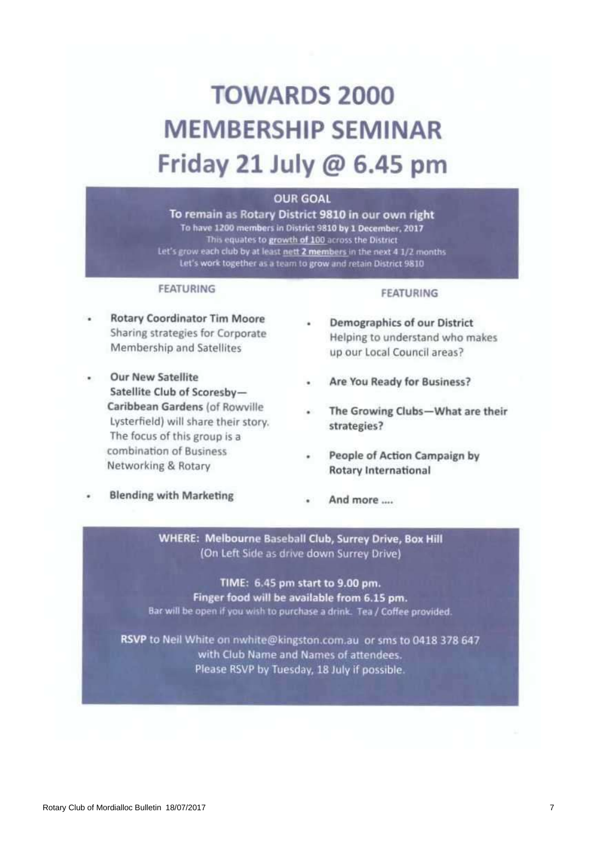# **TOWARDS 2000 MEMBERSHIP SEMINAR** Friday 21 July  $@$  6.45 pm

# **OUR GOAL**

To remain as Rotary District 9810 in our own right To have 1200 members in District 9810 by 1 December, 2017 This equates to growth of 100 across the District Let's grow each club by at least nett 2 members in the next 4 1/2 months Let's work together as a team to grow and retain District 9810

#### **FEATURING**

# **Rotary Coordinator Tim Moore** Sharing strategies for Corporate Membership and Satellites

**Our New Satellite** Satellite Club of Scoresby-Caribbean Gardens (of Rowville Lysterfield) will share their story. The focus of this group is a combination of Business Networking & Rotary

## **Blending with Marketing**

#### **FEATURING**

- **Demographics of our District** Helping to understand who makes up our Local Council areas?
- Are You Ready for Business?
- The Growing Clubs-What are their strategies?
- People of Action Campaign by **Rotary International**
- And more ....

WHERE: Melbourne Baseball Club, Surrey Drive, Box Hill (On Left Side as drive down Surrey Drive)

TIME: 6.45 pm start to 9.00 pm. Finger food will be available from 6.15 pm. Bar will be open if you wish to purchase a drink. Tea / Coffee provided.

RSVP to Neil White on nwhite@kingston.com.au or sms to 0418 378 647 with Club Name and Names of attendees. Please RSVP by Tuesday, 18 July if possible.